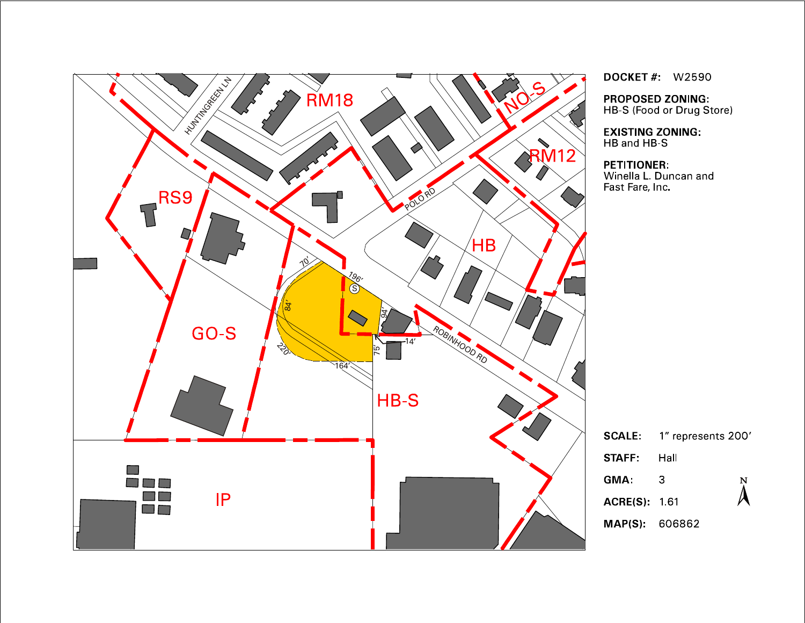

**DOCKET #: W2590** 

PROPOSED ZONING:<br>HB-S (Food or Drug Store)

**EXISTING ZONING:** HB and HB S

#### **PETITIONER:**

Winella L. Duncan and Fast Fare, Inc.

|                    | <b>SCALE</b> 1" represents 200' |               |
|--------------------|---------------------------------|---------------|
| <b>STAFF:</b> Hall |                                 |               |
| GMA:               | 3                               | $\frac{N}{4}$ |
| <b>ACRE(S)</b> 161 |                                 |               |
| MAP(S): 606862     |                                 |               |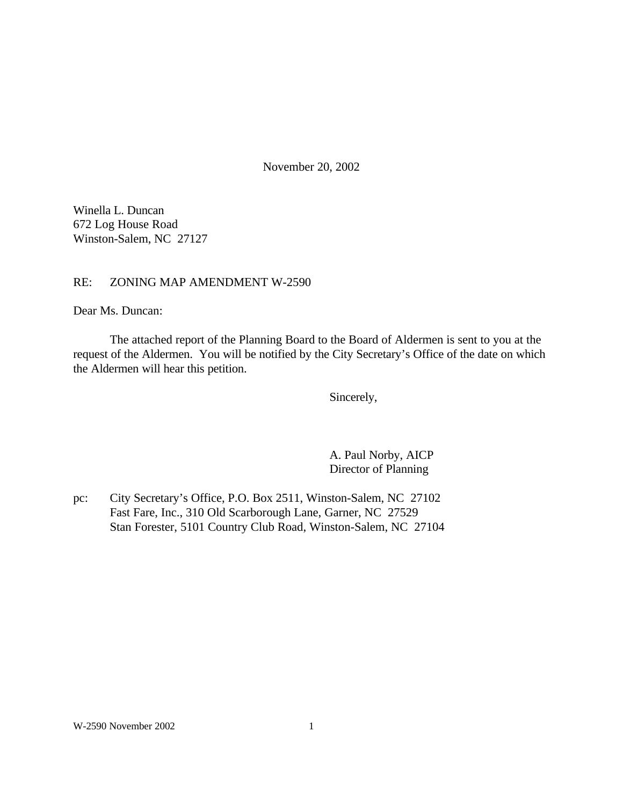November 20, 2002

Winella L. Duncan 672 Log House Road Winston-Salem, NC 27127

## RE: ZONING MAP AMENDMENT W-2590

Dear Ms. Duncan:

The attached report of the Planning Board to the Board of Aldermen is sent to you at the request of the Aldermen. You will be notified by the City Secretary's Office of the date on which the Aldermen will hear this petition.

Sincerely,

A. Paul Norby, AICP Director of Planning

pc: City Secretary's Office, P.O. Box 2511, Winston-Salem, NC 27102 Fast Fare, Inc., 310 Old Scarborough Lane, Garner, NC 27529 Stan Forester, 5101 Country Club Road, Winston-Salem, NC 27104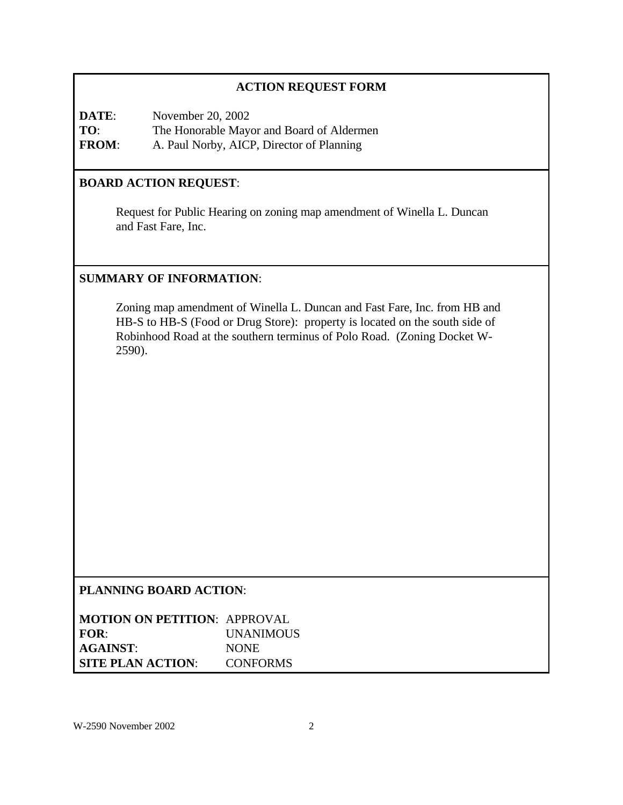# **ACTION REQUEST FORM**

**DATE:** November 20, 2002 **TO**: The Honorable Mayor and Board of Aldermen **FROM**: A. Paul Norby, AICP, Director of Planning

# **BOARD ACTION REQUEST**:

Request for Public Hearing on zoning map amendment of Winella L. Duncan and Fast Fare, Inc.

# **SUMMARY OF INFORMATION**:

Zoning map amendment of Winella L. Duncan and Fast Fare, Inc. from HB and HB-S to HB-S (Food or Drug Store): property is located on the south side of Robinhood Road at the southern terminus of Polo Road. (Zoning Docket W-2590).

## **PLANNING BOARD ACTION**:

| <b>MOTION ON PETITION: APPROVAL</b> |                  |
|-------------------------------------|------------------|
| FOR:                                | <b>UNANIMOUS</b> |
| <b>AGAINST:</b>                     | <b>NONE</b>      |
| <b>SITE PLAN ACTION:</b>            | <b>CONFORMS</b>  |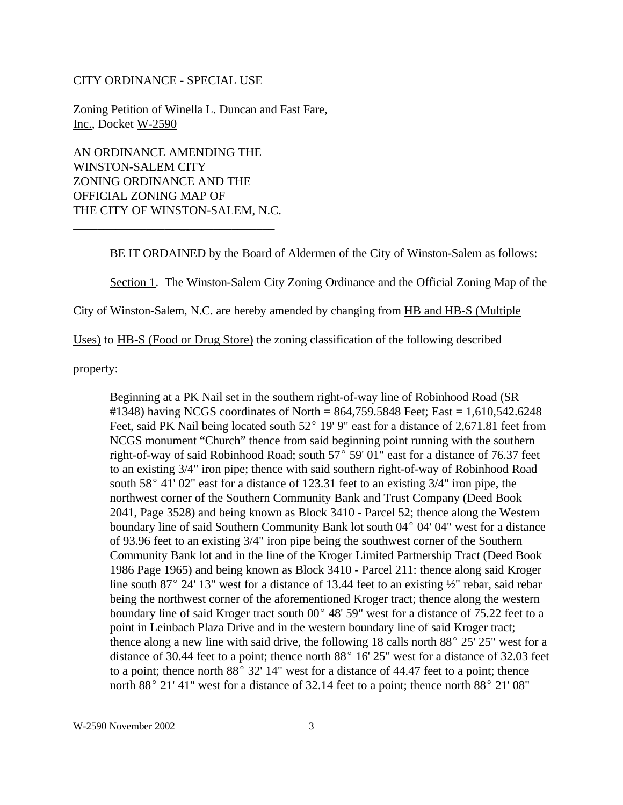#### CITY ORDINANCE - SPECIAL USE

Zoning Petition of Winella L. Duncan and Fast Fare, Inc., Docket W-2590

AN ORDINANCE AMENDING THE WINSTON-SALEM CITY ZONING ORDINANCE AND THE OFFICIAL ZONING MAP OF THE CITY OF WINSTON-SALEM, N.C.

\_\_\_\_\_\_\_\_\_\_\_\_\_\_\_\_\_\_\_\_\_\_\_\_\_\_\_\_\_\_\_\_\_

BE IT ORDAINED by the Board of Aldermen of the City of Winston-Salem as follows:

Section 1. The Winston-Salem City Zoning Ordinance and the Official Zoning Map of the

City of Winston-Salem, N.C. are hereby amended by changing from HB and HB-S (Multiple

Uses) to HB-S (Food or Drug Store) the zoning classification of the following described

property:

Beginning at a PK Nail set in the southern right-of-way line of Robinhood Road (SR #1348) having NCGS coordinates of North = 864,759.5848 Feet; East = 1,610,542.6248 Feet, said PK Nail being located south  $52^{\circ}$  19' 9" east for a distance of 2,671.81 feet from NCGS monument "Church" thence from said beginning point running with the southern right-of-way of said Robinhood Road; south  $57^{\circ}$  59' 01" east for a distance of 76.37 feet to an existing 3/4" iron pipe; thence with said southern right-of-way of Robinhood Road south  $58^{\circ}$  41' 02" east for a distance of 123.31 feet to an existing 3/4" iron pipe, the northwest corner of the Southern Community Bank and Trust Company (Deed Book 2041, Page 3528) and being known as Block 3410 - Parcel 52; thence along the Western boundary line of said Southern Community Bank lot south  $04^{\circ}$   $04'$  04" west for a distance of 93.96 feet to an existing 3/4" iron pipe being the southwest corner of the Southern Community Bank lot and in the line of the Kroger Limited Partnership Tract (Deed Book 1986 Page 1965) and being known as Block 3410 - Parcel 211: thence along said Kroger line south 87 $^{\circ}$  24' 13" west for a distance of 13.44 feet to an existing  $\frac{1}{2}$ " rebar, said rebar being the northwest corner of the aforementioned Kroger tract; thence along the western boundary line of said Kroger tract south  $00^{\circ}$  48' 59" west for a distance of 75.22 feet to a point in Leinbach Plaza Drive and in the western boundary line of said Kroger tract; thence along a new line with said drive, the following 18 calls north  $88^{\circ}$  25' 25" west for a distance of 30.44 feet to a point; thence north  $88^{\circ}$  16' 25" west for a distance of 32.03 feet to a point; thence north  $88^{\circ}$  32' 14" west for a distance of 44.47 feet to a point; thence north  $88^{\circ}$  21' 41" west for a distance of 32.14 feet to a point; thence north  $88^{\circ}$  21' 08"

W-2590 November 2002 3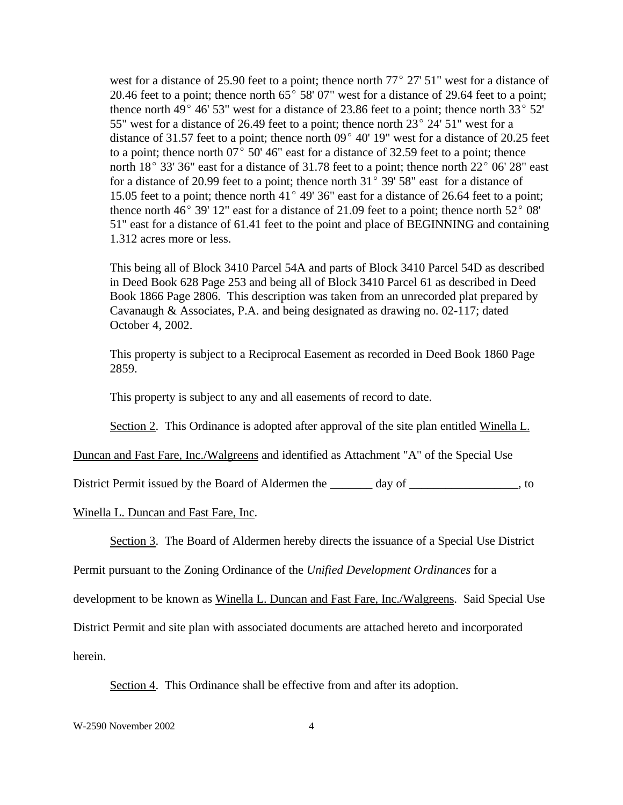west for a distance of 25.90 feet to a point; thence north  $77^{\circ}$  27' 51" west for a distance of 20.46 feet to a point; thence north  $65^{\circ}$  58' 07" west for a distance of 29.64 feet to a point; thence north 49 $^{\circ}$  46' 53" west for a distance of 23.86 feet to a point; thence north 33 $^{\circ}$  52' 55" west for a distance of 26.49 feet to a point; thence north  $23^{\circ}$  24' 51" west for a distance of 31.57 feet to a point; thence north  $09^{\circ}$  40' 19" west for a distance of 20.25 feet to a point; thence north  $07^{\circ}$  50' 46" east for a distance of 32.59 feet to a point; thence north  $18^{\circ}$  33' 36" east for a distance of 31.78 feet to a point; thence north  $22^{\circ}$  06' 28" east for a distance of 20.99 feet to a point; thence north  $31^{\circ}$  39' 58" east for a distance of 15.05 feet to a point; thence north 41 $^{\circ}$  49' 36" east for a distance of 26.64 feet to a point; thence north  $46^{\circ}$  39' 12" east for a distance of 21.09 feet to a point; thence north  $52^{\circ}$  08' 51" east for a distance of 61.41 feet to the point and place of BEGINNING and containing 1.312 acres more or less.

This being all of Block 3410 Parcel 54A and parts of Block 3410 Parcel 54D as described in Deed Book 628 Page 253 and being all of Block 3410 Parcel 61 as described in Deed Book 1866 Page 2806. This description was taken from an unrecorded plat prepared by Cavanaugh & Associates, P.A. and being designated as drawing no. 02-117; dated October 4, 2002.

This property is subject to a Reciprocal Easement as recorded in Deed Book 1860 Page 2859.

This property is subject to any and all easements of record to date.

Section 2. This Ordinance is adopted after approval of the site plan entitled Winella L.

Duncan and Fast Fare, Inc./Walgreens and identified as Attachment "A" of the Special Use

District Permit issued by the Board of Aldermen the \_\_\_\_\_\_\_ day of \_\_\_\_\_\_\_\_\_\_\_\_\_\_\_\_\_\_, to

#### Winella L. Duncan and Fast Fare, Inc.

Section 3. The Board of Aldermen hereby directs the issuance of a Special Use District

Permit pursuant to the Zoning Ordinance of the *Unified Development Ordinances* for a

development to be known as Winella L. Duncan and Fast Fare, Inc./Walgreens. Said Special Use

District Permit and site plan with associated documents are attached hereto and incorporated

herein.

Section 4. This Ordinance shall be effective from and after its adoption.

W-2590 November 2002 4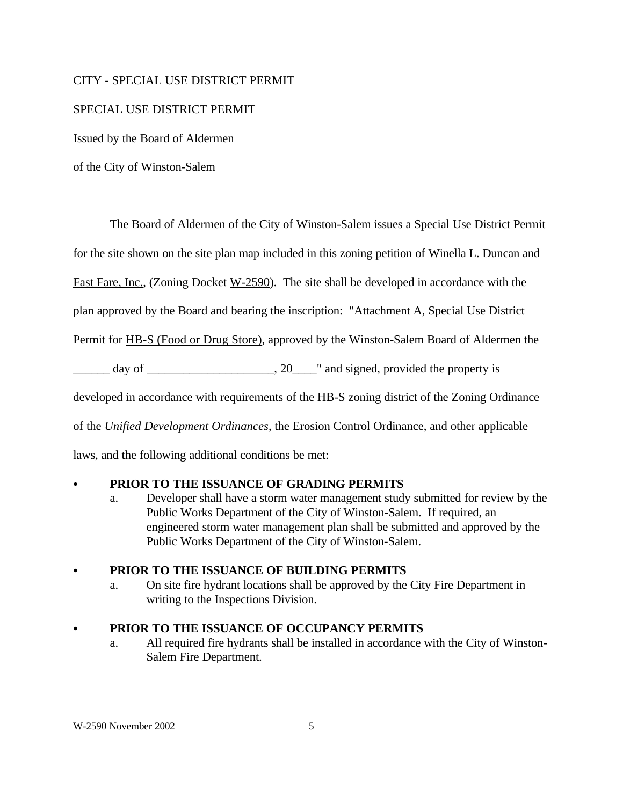## CITY - SPECIAL USE DISTRICT PERMIT

## SPECIAL USE DISTRICT PERMIT

Issued by the Board of Aldermen

of the City of Winston-Salem

The Board of Aldermen of the City of Winston-Salem issues a Special Use District Permit

for the site shown on the site plan map included in this zoning petition of Winella L. Duncan and

Fast Fare, Inc., (Zoning Docket W-2590). The site shall be developed in accordance with the

plan approved by the Board and bearing the inscription: "Attachment A, Special Use District

Permit for HB-S (Food or Drug Store), approved by the Winston-Salem Board of Aldermen the

 $\frac{1}{2}$  day of  $\frac{1}{2}$  day of  $\frac{1}{2}$  and signed, provided the property is

developed in accordance with requirements of the HB-S zoning district of the Zoning Ordinance

of the *Unified Development Ordinances*, the Erosion Control Ordinance, and other applicable

laws, and the following additional conditions be met:

## PRIOR TO THE ISSUANCE OF GRADING PERMITS

a. Developer shall have a storm water management study submitted for review by the Public Works Department of the City of Winston-Salem. If required, an engineered storm water management plan shall be submitted and approved by the Public Works Department of the City of Winston-Salem.

## PRIOR TO THE ISSUANCE OF BUILDING PERMITS

a. On site fire hydrant locations shall be approved by the City Fire Department in writing to the Inspections Division.

# C **PRIOR TO THE ISSUANCE OF OCCUPANCY PERMITS**

a. All required fire hydrants shall be installed in accordance with the City of Winston-Salem Fire Department.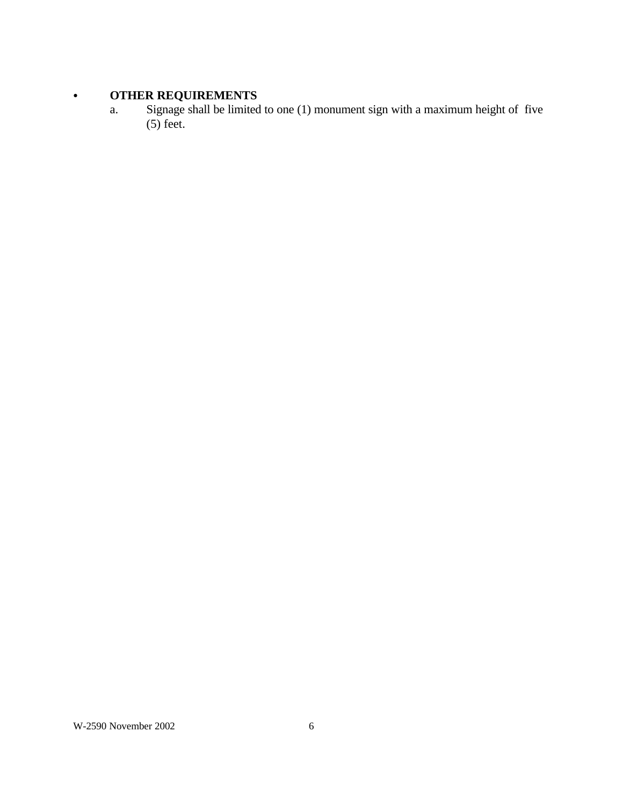# **• OTHER REQUIREMENTS**

a. Signage shall be limited to one (1) monument sign with a maximum height of five  $(5)$  feet.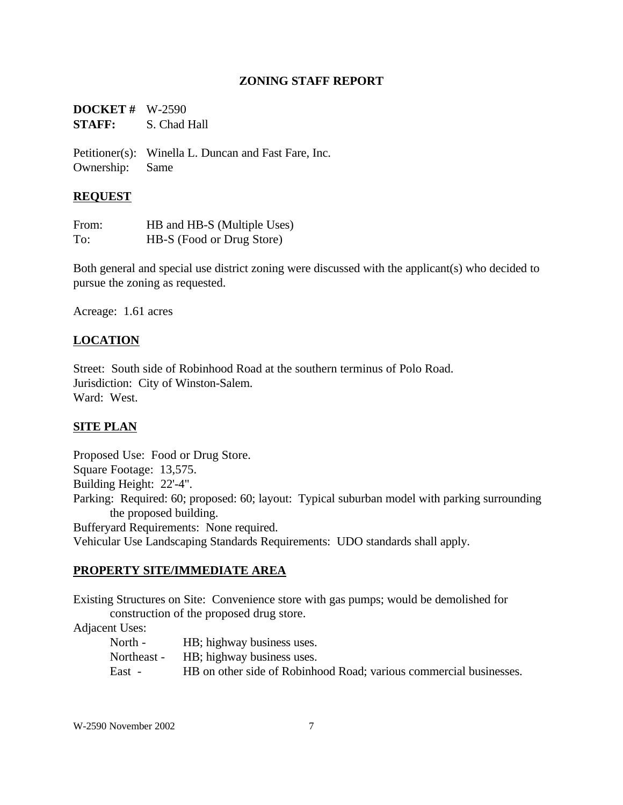## **ZONING STAFF REPORT**

| <b>DOCKET</b> # $W-2590$ |              |
|--------------------------|--------------|
| <b>STAFF:</b>            | S. Chad Hall |

Petitioner(s): Winella L. Duncan and Fast Fare, Inc. Ownership: Same

## **REQUEST**

| From: | HB and HB-S (Multiple Uses) |
|-------|-----------------------------|
| To:   | HB-S (Food or Drug Store)   |

Both general and special use district zoning were discussed with the applicant(s) who decided to pursue the zoning as requested.

Acreage: 1.61 acres

## **LOCATION**

Street: South side of Robinhood Road at the southern terminus of Polo Road. Jurisdiction: City of Winston-Salem. Ward: West.

## **SITE PLAN**

Proposed Use: Food or Drug Store. Square Footage: 13,575. Building Height: 22'-4". Parking: Required: 60; proposed: 60; layout: Typical suburban model with parking surrounding the proposed building. Bufferyard Requirements: None required. Vehicular Use Landscaping Standards Requirements: UDO standards shall apply.

### **PROPERTY SITE/IMMEDIATE AREA**

Existing Structures on Site: Convenience store with gas pumps; would be demolished for construction of the proposed drug store.

Adjacent Uses:

| North -     | HB; highway business uses.                                         |
|-------------|--------------------------------------------------------------------|
| Northeast - | HB; highway business uses.                                         |
| East -      | HB on other side of Robinhood Road; various commercial businesses. |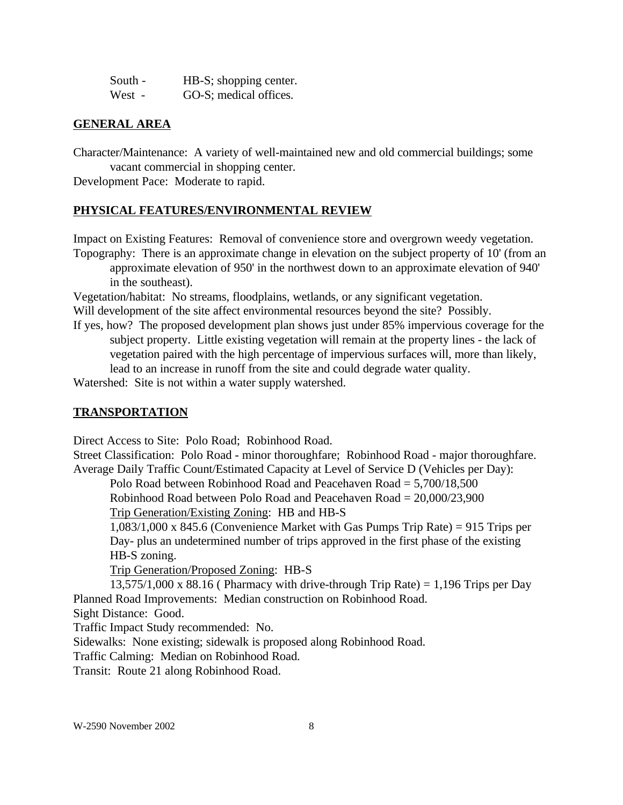| South - | HB-S; shopping center. |
|---------|------------------------|
| West -  | GO-S; medical offices. |

#### **GENERAL AREA**

Character/Maintenance: A variety of well-maintained new and old commercial buildings; some vacant commercial in shopping center.

Development Pace: Moderate to rapid.

### **PHYSICAL FEATURES/ENVIRONMENTAL REVIEW**

Impact on Existing Features: Removal of convenience store and overgrown weedy vegetation.

Topography: There is an approximate change in elevation on the subject property of 10' (from an approximate elevation of 950' in the northwest down to an approximate elevation of 940' in the southeast).

Vegetation/habitat: No streams, floodplains, wetlands, or any significant vegetation. Will development of the site affect environmental resources beyond the site? Possibly.

If yes, how? The proposed development plan shows just under 85% impervious coverage for the subject property. Little existing vegetation will remain at the property lines - the lack of vegetation paired with the high percentage of impervious surfaces will, more than likely, lead to an increase in runoff from the site and could degrade water quality.

Watershed: Site is not within a water supply watershed.

#### **TRANSPORTATION**

Direct Access to Site: Polo Road; Robinhood Road.

Street Classification: Polo Road - minor thoroughfare; Robinhood Road - major thoroughfare. Average Daily Traffic Count/Estimated Capacity at Level of Service D (Vehicles per Day):

Polo Road between Robinhood Road and Peacehaven Road = 5,700/18,500

Robinhood Road between Polo Road and Peacehaven Road = 20,000/23,900 Trip Generation/Existing Zoning: HB and HB-S

1,083/1,000 x 845.6 (Convenience Market with Gas Pumps Trip Rate) = 915 Trips per Day- plus an undetermined number of trips approved in the first phase of the existing HB-S zoning.

Trip Generation/Proposed Zoning: HB-S

 $13,575/1,000 \times 88.16$  (Pharmacy with drive-through Trip Rate) = 1,196 Trips per Day Planned Road Improvements: Median construction on Robinhood Road.

Sight Distance: Good.

Traffic Impact Study recommended: No.

Sidewalks: None existing; sidewalk is proposed along Robinhood Road.

Traffic Calming: Median on Robinhood Road.

Transit: Route 21 along Robinhood Road.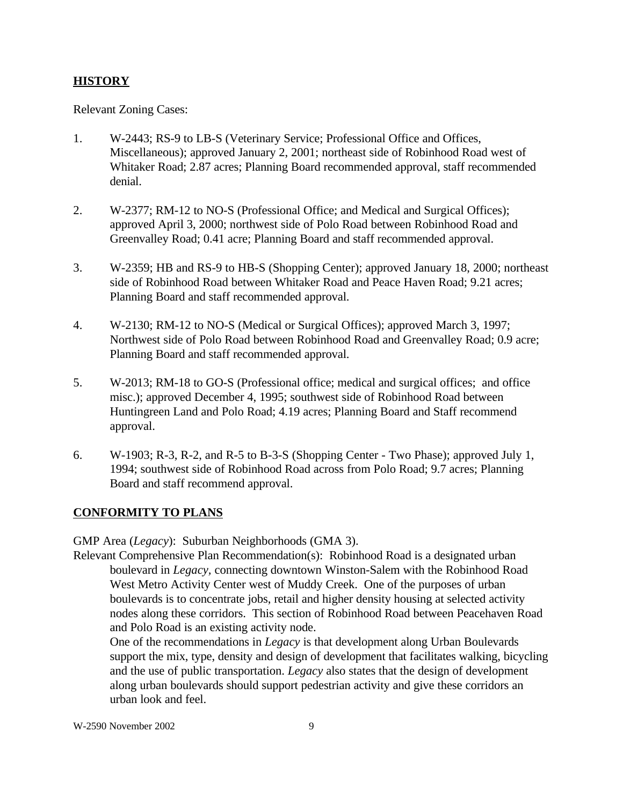# **HISTORY**

Relevant Zoning Cases:

- 1. W-2443; RS-9 to LB-S (Veterinary Service; Professional Office and Offices, Miscellaneous); approved January 2, 2001; northeast side of Robinhood Road west of Whitaker Road; 2.87 acres; Planning Board recommended approval, staff recommended denial.
- 2. W-2377; RM-12 to NO-S (Professional Office; and Medical and Surgical Offices); approved April 3, 2000; northwest side of Polo Road between Robinhood Road and Greenvalley Road; 0.41 acre; Planning Board and staff recommended approval.
- 3. W-2359; HB and RS-9 to HB-S (Shopping Center); approved January 18, 2000; northeast side of Robinhood Road between Whitaker Road and Peace Haven Road; 9.21 acres; Planning Board and staff recommended approval.
- 4. W-2130; RM-12 to NO-S (Medical or Surgical Offices); approved March 3, 1997; Northwest side of Polo Road between Robinhood Road and Greenvalley Road; 0.9 acre; Planning Board and staff recommended approval.
- 5. W-2013; RM-18 to GO-S (Professional office; medical and surgical offices; and office misc.); approved December 4, 1995; southwest side of Robinhood Road between Huntingreen Land and Polo Road; 4.19 acres; Planning Board and Staff recommend approval.
- 6. W-1903; R-3, R-2, and R-5 to B-3-S (Shopping Center Two Phase); approved July 1, 1994; southwest side of Robinhood Road across from Polo Road; 9.7 acres; Planning Board and staff recommend approval.

# **CONFORMITY TO PLANS**

GMP Area (*Legacy*): Suburban Neighborhoods (GMA 3).

Relevant Comprehensive Plan Recommendation(s): Robinhood Road is a designated urban boulevard in *Legacy,* connecting downtown Winston-Salem with the Robinhood Road West Metro Activity Center west of Muddy Creek. One of the purposes of urban boulevards is to concentrate jobs, retail and higher density housing at selected activity nodes along these corridors. This section of Robinhood Road between Peacehaven Road and Polo Road is an existing activity node.

One of the recommendations in *Legacy* is that development along Urban Boulevards support the mix, type, density and design of development that facilitates walking, bicycling and the use of public transportation. *Legacy* also states that the design of development along urban boulevards should support pedestrian activity and give these corridors an urban look and feel.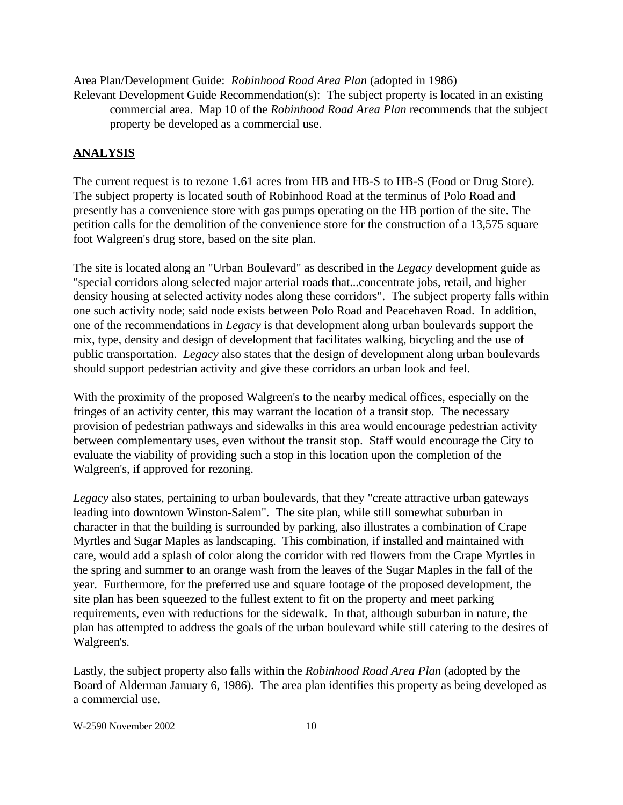Area Plan/Development Guide: *Robinhood Road Area Plan* (adopted in 1986)

Relevant Development Guide Recommendation(s): The subject property is located in an existing commercial area. Map 10 of the *Robinhood Road Area Plan* recommends that the subject property be developed as a commercial use.

## **ANALYSIS**

The current request is to rezone 1.61 acres from HB and HB-S to HB-S (Food or Drug Store). The subject property is located south of Robinhood Road at the terminus of Polo Road and presently has a convenience store with gas pumps operating on the HB portion of the site. The petition calls for the demolition of the convenience store for the construction of a 13,575 square foot Walgreen's drug store, based on the site plan.

The site is located along an "Urban Boulevard" as described in the *Legacy* development guide as "special corridors along selected major arterial roads that...concentrate jobs, retail, and higher density housing at selected activity nodes along these corridors". The subject property falls within one such activity node; said node exists between Polo Road and Peacehaven Road. In addition, one of the recommendations in *Legacy* is that development along urban boulevards support the mix, type, density and design of development that facilitates walking, bicycling and the use of public transportation. *Legacy* also states that the design of development along urban boulevards should support pedestrian activity and give these corridors an urban look and feel.

With the proximity of the proposed Walgreen's to the nearby medical offices, especially on the fringes of an activity center, this may warrant the location of a transit stop. The necessary provision of pedestrian pathways and sidewalks in this area would encourage pedestrian activity between complementary uses, even without the transit stop. Staff would encourage the City to evaluate the viability of providing such a stop in this location upon the completion of the Walgreen's, if approved for rezoning.

*Legacy* also states, pertaining to urban boulevards, that they "create attractive urban gateways leading into downtown Winston-Salem". The site plan, while still somewhat suburban in character in that the building is surrounded by parking, also illustrates a combination of Crape Myrtles and Sugar Maples as landscaping. This combination, if installed and maintained with care, would add a splash of color along the corridor with red flowers from the Crape Myrtles in the spring and summer to an orange wash from the leaves of the Sugar Maples in the fall of the year. Furthermore, for the preferred use and square footage of the proposed development, the site plan has been squeezed to the fullest extent to fit on the property and meet parking requirements, even with reductions for the sidewalk. In that, although suburban in nature, the plan has attempted to address the goals of the urban boulevard while still catering to the desires of Walgreen's.

Lastly, the subject property also falls within the *Robinhood Road Area Plan* (adopted by the Board of Alderman January 6, 1986). The area plan identifies this property as being developed as a commercial use.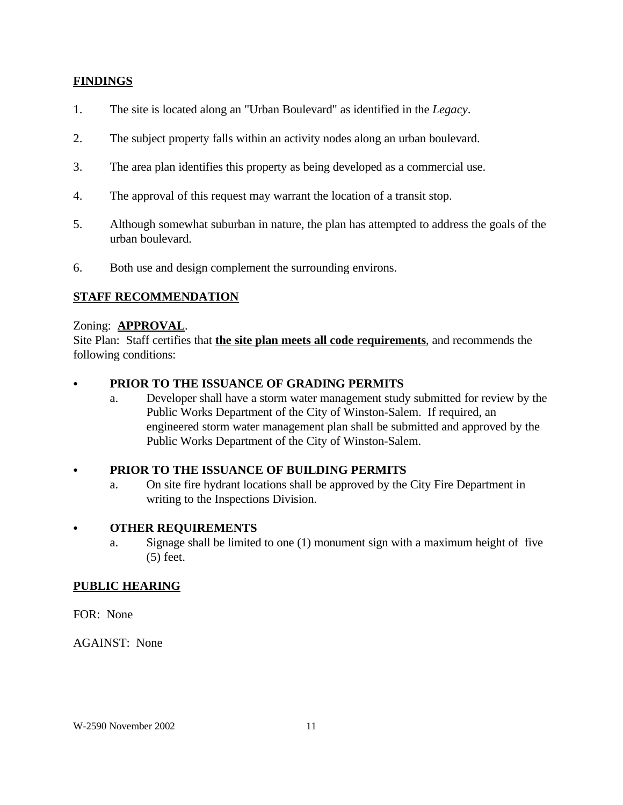## **FINDINGS**

- 1. The site is located along an "Urban Boulevard" as identified in the *Legacy*.
- 2. The subject property falls within an activity nodes along an urban boulevard.
- 3. The area plan identifies this property as being developed as a commercial use.
- 4. The approval of this request may warrant the location of a transit stop.
- 5. Although somewhat suburban in nature, the plan has attempted to address the goals of the urban boulevard.
- 6. Both use and design complement the surrounding environs.

## **STAFF RECOMMENDATION**

#### Zoning: **APPROVAL**.

Site Plan: Staff certifies that **the site plan meets all code requirements**, and recommends the following conditions:

# PRIOR TO THE ISSUANCE OF GRADING PERMITS

a. Developer shall have a storm water management study submitted for review by the Public Works Department of the City of Winston-Salem. If required, an engineered storm water management plan shall be submitted and approved by the Public Works Department of the City of Winston-Salem.

## PRIOR TO THE ISSUANCE OF BUILDING PERMITS

a. On site fire hydrant locations shall be approved by the City Fire Department in writing to the Inspections Division.

## C **OTHER REQUIREMENTS**

a. Signage shall be limited to one (1) monument sign with a maximum height of five (5) feet.

#### **PUBLIC HEARING**

#### FOR: None

AGAINST: None